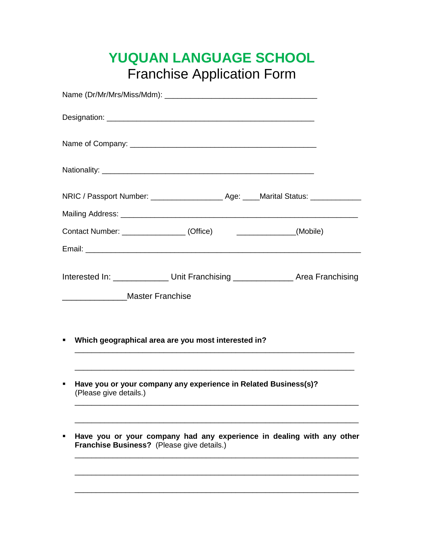## **YUQUAN LANGUAGE SCHOOL**  Franchise Application Form

|   | Contact Number: _________________(Office) ________________(Mobile)                                                                                                                                                                   |  |  |
|---|--------------------------------------------------------------------------------------------------------------------------------------------------------------------------------------------------------------------------------------|--|--|
|   |                                                                                                                                                                                                                                      |  |  |
| ٠ | Interested In: _______________ Unit Franchising ________________ Area Franchising<br>Master Franchise<br>Which geographical area are you most interested in?<br><u> 1989 - Johann Barn, mars an t-Amerikaansk politiker (* 1989)</u> |  |  |
| ٠ | Have you or your company any experience in Related Business(s)?<br>(Please give details.)                                                                                                                                            |  |  |
| ٠ | Have you or your company had any experience in dealing with any other<br>Franchise Business? (Please give details.)                                                                                                                  |  |  |
|   |                                                                                                                                                                                                                                      |  |  |